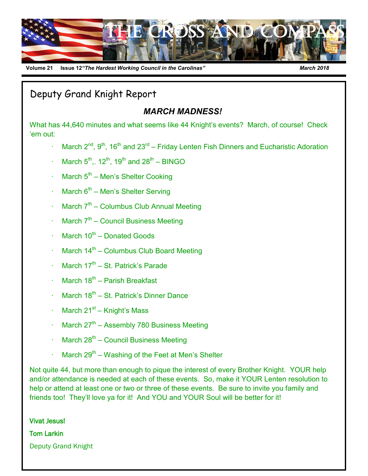

**Volume 2110 Issue 12***"The Hardest Working Council in the Carolinas" March 2018*

Deputy Grand Knight Report

#### *MARCH MADNESS!*

What has 44,640 minutes and what seems like 44 Knight's events? March, of course! Check 'em out:

- March  $2^{nd}$ ,  $9^{th}$ , 16<sup>th</sup> and  $23^{rd}$  Friday Lenten Fish Dinners and Eucharistic Adoration
- March  $5^{th}$ ,. 12<sup>th</sup>, 19<sup>th</sup> and 28<sup>th</sup> BINGO
- $\cdot$  March  $5<sup>th</sup>$  Men's Shelter Cooking
- $\cdot$  March 6<sup>th</sup> Men's Shelter Serving
- $\cdot$  March  $7^{th}$  Columbus Club Annual Meeting
- $\cdot$  March  $7<sup>th</sup>$  Council Business Meeting
- $\cdot$  March 10<sup>th</sup> Donated Goods
- $\cdot$  March 14<sup>th</sup> Columbus Club Board Meeting
- $\cdot$  March 17<sup>th</sup> St. Patrick's Parade
- $\cdot$  March 18<sup>th</sup> Parish Breakfast
- $\cdot$  March 18<sup>th</sup> St. Patrick's Dinner Dance
- $\cdot$  March 21<sup>st</sup> Knight's Mass
- $\cdot$  March 27<sup>th</sup> Assembly 780 Business Meeting
- $\cdot$  March 28<sup>th</sup> Council Business Meeting
- $\cdot$  March 29<sup>th</sup> Washing of the Feet at Men's Shelter

Not quite 44, but more than enough to pique the interest of every Brother Knight. YOUR help and/or attendance is needed at each of these events. So, make it YOUR Lenten resolution to help or attend at least one or two or three of these events. Be sure to invite you family and friends too! They'll love ya for it! And YOU and YOUR Soul will be better for it!

Vivat Jesus! Tom Larkin Deputy Grand Knight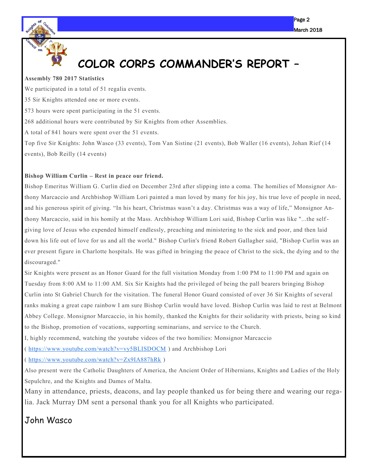

### **COLOR CORPS COMMANDER'S REPORT –**

#### **Assembly 780 2017 Statistics**

We participated in a total of 51 regalia events. 35 Sir Knights attended one or more events. 573 hours were spent participating in the 51 events. 268 additional hours were contributed by Sir Knights from other Assemblies. A total of 841 hours were spent over the 51 events. Top five Sir Knights: John Wasco (33 events), Tom Van Sistine (21 events), Bob Waller (16 events), Johan Rief (14 events), Bob Reilly (14 events)

#### **Bishop William Curlin – Rest in peace our friend.**

Bishop Emeritus William G. Curlin died on December 23rd after slipping into a coma. The homilies of Monsignor Anthony Marcaccio and Archbishop William Lori painted a man loved by many for his joy, his true love of people in need, and his generous spirit of giving. "In his heart, Christmas wasn't a day. Christmas was a way of life," Monsignor Anthony Marcaccio, said in his homily at the Mass. Archbishop William Lori said, Bishop Curlin was like "...the self giving love of Jesus who expended himself endlessly, preaching and ministering to the sick and poor, and then laid down his life out of love for us and all the world." Bishop Curlin's friend Robert Gallagher said, "Bishop Curlin was an ever present figure in Charlotte hospitals. He was gifted in bringing the peace of Christ to the sick, the dying and to the discouraged."

Sir Knights were present as an Honor Guard for the full visitation Monday from 1:00 PM to 11:00 PM and again on Tuesday from 8:00 AM to 11:00 AM. Six Sir Knights had the privileged of being the pall bearers bringing Bishop Curlin into St Gabriel Church for the visitation. The funeral Honor Guard consisted of over 36 Sir Knights of several ranks making a great cape rainbow I am sure Bishop Curlin would have loved. Bishop Curlin was laid to rest at Belmont Abbey College. Monsignor Marcaccio, in his homily, thanked the Knights for their solidarity with priests, being so kind to the Bishop, promotion of vocations, supporting seminarians, and service to the Church.

I, highly recommend, watching the youtube videos of the two homilies: Monsignor Marcaccio

( <https://www.youtube.com/watch?v=vy5BLISDOCM> ) and Archbishop Lori

( <https://www.youtube.com/watch?v=Zx9IA887hRk> )

Also present were the Catholic Daughters of America, the Ancient Order of Hibernians, Knights and Ladies of the Holy Sepulchre, and the Knights and Dames of Malta.

Many in attendance, priests, deacons, and lay people thanked us for being there and wearing our regalia. Jack Murray DM sent a personal thank you for all Knights who participated.

#### John Wasco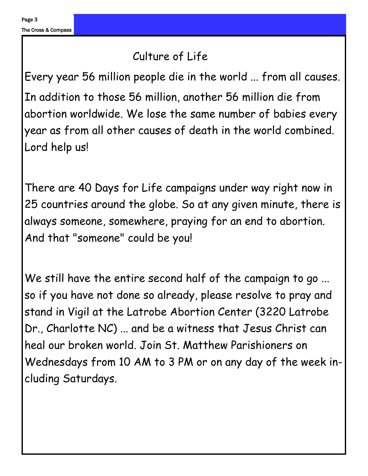#### Culture of Life

Every year 56 million people die in the world ... from all causes. In addition to those 56 million, another 56 million die from abortion worldwide. We lose the same number of babies every year as from all other causes of death in the world combined. Lord help us!

There are 40 Days for Life campaigns under way right now in 25 countries around the globe. So at any given minute, there is always someone, somewhere, praying for an end to abortion. And that "someone" could be you!

We still have the entire second half of the campaign to go ... so if you have not done so already, please resolve to pray and stand in Vigil at the Latrobe Abortion Center (3220 Latrobe Dr., Charlotte NC) ... and be a witness that Jesus Christ can heal our broken world. Join St. Matthew Parishioners on Wednesdays from 10 AM to 3 PM or on any day of the week including Saturdays.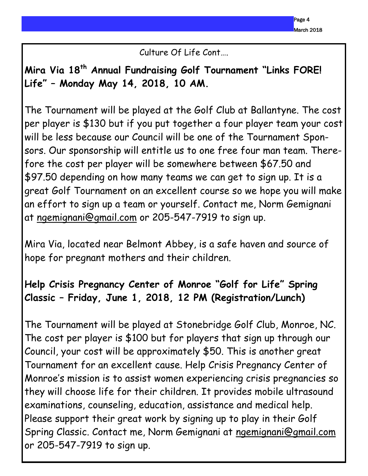Culture Of Life Cont….

**Mira Via 18th Annual Fundraising Golf Tournament "Links FORE! Life" – Monday May 14, 2018, 10 AM.**

The Tournament will be played at the Golf Club at Ballantyne. The cost per player is \$130 but if you put together a four player team your cost will be less because our Council will be one of the Tournament Sponsors. Our sponsorship will entitle us to one free four man team. Therefore the cost per player will be somewhere between \$67.50 and \$97.50 depending on how many teams we can get to sign up. It is a great Golf Tournament on an excellent course so we hope you will make an effort to sign up a team or yourself. Contact me, Norm Gemignani at [ngemignani@gmail.com](mailto:ngemignani@gmail.com) or 205-547-7919 to sign up.

Mira Via, located near Belmont Abbey, is a safe haven and source of hope for pregnant mothers and their children.

#### **Help Crisis Pregnancy Center of Monroe "Golf for Life" Spring Classic – Friday, June 1, 2018, 12 PM (Registration/Lunch)**

The Tournament will be played at Stonebridge Golf Club, Monroe, NC. The cost per player is \$100 but for players that sign up through our Council, your cost will be approximately \$50. This is another great Tournament for an excellent cause. Help Crisis Pregnancy Center of Monroe's mission is to assist women experiencing crisis pregnancies so they will choose life for their children. It provides mobile ultrasound examinations, counseling, education, assistance and medical help. Please support their great work by signing up to play in their Golf Spring Classic. Contact me, Norm Gemignani at [ngemignani@gmail.com](mailto:ngemignani@gmail.com) or 205-547-7919 to sign up.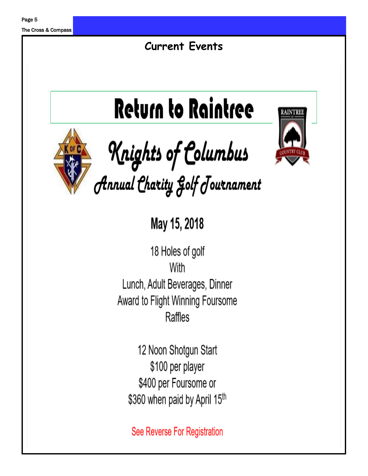The Cross & Compass

### **Current Events**

# **Return to Raintree**



**Knights of Columbus**<br>*Annual Charity golf Journament* 

May 15, 2018

18 Holes of golf With Lunch, Adult Beverages, Dinner Award to Flight Winning Foursome Raffles

12 Noon Shotgun Start \$100 per player \$400 per Foursome or \$360 when paid by April 15th

See Reverse For Registration

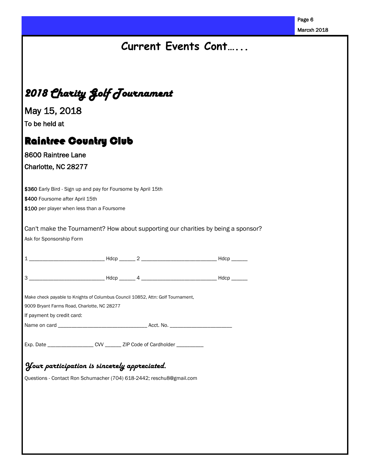| 2018 Charity Golf Journament<br>May 15, 2018<br>To be held at<br><b>Raintree Country Club</b><br>8600 Raintree Lane<br>Charlotte, NC 28277<br>\$360 Early Bird - Sign up and pay for Foursome by April 15th<br>\$400 Foursome after April 15th<br>\$100 per player when less than a Foursome |  | Current Events Cont                                                               | Marcxh 2018 |
|----------------------------------------------------------------------------------------------------------------------------------------------------------------------------------------------------------------------------------------------------------------------------------------------|--|-----------------------------------------------------------------------------------|-------------|
|                                                                                                                                                                                                                                                                                              |  |                                                                                   |             |
|                                                                                                                                                                                                                                                                                              |  |                                                                                   |             |
|                                                                                                                                                                                                                                                                                              |  |                                                                                   |             |
|                                                                                                                                                                                                                                                                                              |  |                                                                                   |             |
|                                                                                                                                                                                                                                                                                              |  |                                                                                   |             |
|                                                                                                                                                                                                                                                                                              |  |                                                                                   |             |
|                                                                                                                                                                                                                                                                                              |  |                                                                                   |             |
| Ask for Sponsorship Form                                                                                                                                                                                                                                                                     |  | Can't make the Tournament? How about supporting our charities by being a sponsor? |             |
|                                                                                                                                                                                                                                                                                              |  |                                                                                   |             |
| $3$ —                                                                                                                                                                                                                                                                                        |  |                                                                                   |             |
| Make check payable to Knights of Columbus Council 10852, Attn: Golf Tournament,<br>9009 Bryant Farms Road, Charlotte, NC 28277<br>If payment by credit card:                                                                                                                                 |  |                                                                                   |             |
| Exp. Date ____________________CVV ________ ZIP Code of Cardholder ___________                                                                                                                                                                                                                |  |                                                                                   |             |
| Your participation is sincerely appreciated.                                                                                                                                                                                                                                                 |  |                                                                                   |             |
| Questions - Contact Ron Schumacher (704) 618-2442; reschu8@gmail.com                                                                                                                                                                                                                         |  |                                                                                   |             |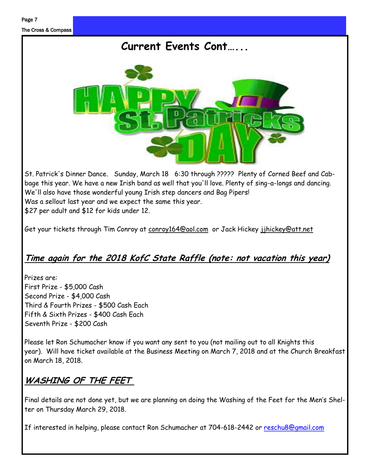

St. Patrick's Dinner Dance. Sunday, March 18 6:30 through ????? Plenty of Corned Beef and Cabbage this year. We have a new Irish band as well that you'll love. Plenty of sing-a-longs and dancing. We'll also have those wonderful young Irish step dancers and Bag Pipers! Was a sellout last year and we expect the same this year. \$27 per adult and \$12 for kids under 12.

Get your tickets through Tim Conroy at conroy164@aol.com or Jack Hickey jihickey@att.net

#### **Time again for the 2018 KofC State Raffle (note: not vacation this year)**

Prizes are: First Prize - \$5,000 Cash Second Prize - \$4,000 Cash Third & Fourth Prizes - \$500 Cash Each Fifth & Sixth Prizes - \$400 Cash Each Seventh Prize - \$200 Cash

Please let Ron Schumacher know if you want any sent to you (not mailing out to all Knights this year). Will have ticket available at the Business Meeting on March 7, 2018 and at the Church Breakfast on March 18, 2018.

#### **WASHING OF THE FEET**

Final details are not done yet, but we are planning on doing the Washing of the Feet for the Men's Shelter on Thursday March 29, 2018.

If interested in helping, please contact Ron Schumacher at 704-618-2442 or [reschu8@gmail.com](mailto:reschu8@gmail.com)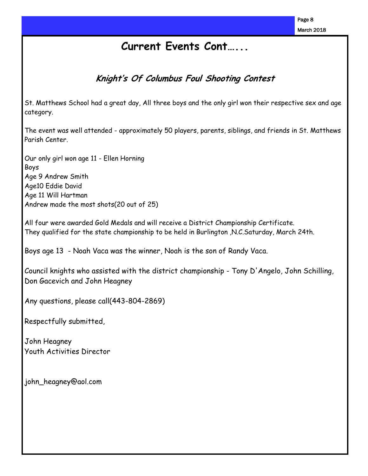#### **Current Events Cont…...**

#### **Knight's Of Columbus Foul Shooting Contest**

St. Matthews School had a great day, All three boys and the only girl won their respective sex and age category.

The event was well attended - approximately 50 players, parents, siblings, and friends in St. Matthews Parish Center.

Our only girl won age 11 - Ellen Horning Boys Age 9 Andrew Smith Age10 Eddie David Age 11 Will Hartman Andrew made the most shots(20 out of 25)

All four were awarded Gold Medals and will receive a District Championship Certificate. They qualified for the state championship to be held in Burlington ,N.C.Saturday, March 24th.

Boys age 13 - Noah Vaca was the winner, Noah is the son of Randy Vaca.

Council knights who assisted with the district championship - Tony D'Angelo, John Schilling, Don Gacevich and John Heagney

Any questions, please call(443-804-2869)

Respectfully submitted,

John Heagney Youth Activities Director

john\_heagney@aol.com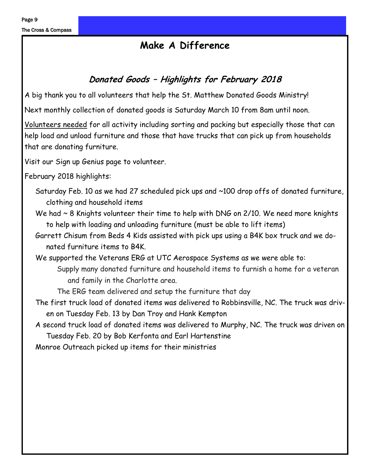#### **Make A Difference**

#### **Donated Goods – Highlights for February 2018**

A big thank you to all volunteers that help the St. Matthew Donated Goods Ministry!

Next monthly collection of donated goods is Saturday March 10 from 8am until noon.

Volunteers needed for all activity including sorting and packing but especially those that can help load and unload furniture and those that have trucks that can pick up from households that are donating furniture.

Visit our Sign up Genius page to volunteer.

February 2018 highlights:

- Saturday Feb. 10 as we had 27 scheduled pick ups and ~100 drop offs of donated furniture, clothing and household items
- We had  $\sim$  8 Knights volunteer their time to help with DNG on 2/10. We need more knights to help with loading and unloading furniture (must be able to lift items)
- Garrett Chisum from Beds 4 Kids assisted with pick ups using a B4K box truck and we donated furniture items to B4K.
- We supported the Veterans ERG at UTC Aerospace Systems as we were able to: Supply many donated furniture and household items to furnish a home for a veteran and family in the Charlotte area.

The ERG team delivered and setup the furniture that day

- The first truck load of donated items was delivered to Robbinsville, NC. The truck was driven on Tuesday Feb. 13 by Dan Troy and Hank Kempton
- A second truck load of donated items was delivered to Murphy, NC. The truck was driven on Tuesday Feb. 20 by Bob Kerfonta and Earl Hartenstine

Monroe Outreach picked up items for their ministries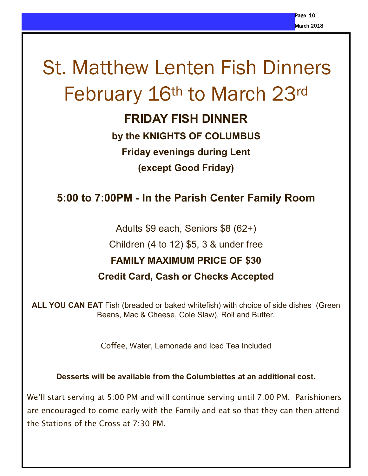# St. Matthew Lenten Fish Dinners February 16th to March 23rd

#### **FRIDAY FISH DINNER**

**by the KNIGHTS OF COLUMBUS Friday evenings during Lent (except Good Friday)**

#### **5:00 to 7:00PM - In the Parish Center Family Room**

Adults \$9 each, Seniors \$8 (62+) Children (4 to 12) \$5, 3 & under free **FAMILY MAXIMUM PRICE OF \$30 Credit Card, Cash or Checks Accepted**

**ALL YOU CAN EAT** Fish (breaded or baked whitefish) with choice of side dishes (Green Beans, Mac & Cheese, Cole Slaw), Roll and Butter.

Coffee, Water, Lemonade and Iced Tea Included

**Desserts will be available from the Columbiettes at an additional cost.**

We'll start serving at 5:00 PM and will continue serving until 7:00 PM. Parishioners are encouraged to come early with the Family and eat so that they can then attend the Stations of the Cross at 7:30 PM.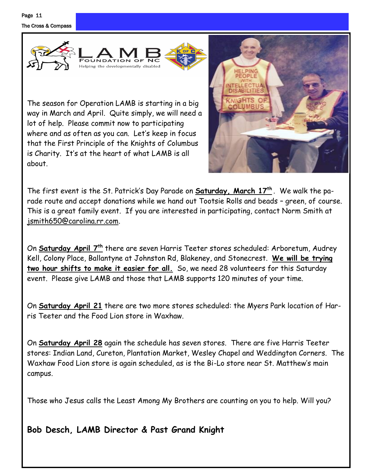



The season for Operation LAMB is starting in a big way in March and April. Quite simply, we will need a lot of help. Please commit now to participating where and as often as you can. Let's keep in focus that the First Principle of the Knights of Columbus is Charity. It's at the heart of what LAMB is all about.



The first event is the St. Patrick's Day Parade on **Saturday, March 17th** . We walk the parade route and accept donations while we hand out Tootsie Rolls and beads – green, of course. This is a great family event. If you are interested in participating, contact Norm Smith at [jsmith650@carolina.rr.com.](mailto:jsmith650@carolina.rr.com)

On **Saturday April 7th** there are seven Harris Teeter stores scheduled: Arboretum, Audrey Kell, Colony Place, Ballantyne at Johnston Rd, Blakeney, and Stonecrest. **We will be trying two hour shifts to make it easier for all.** So, we need 28 volunteers for this Saturday event. Please give LAMB and those that LAMB supports 120 minutes of your time.

On **Saturday April 21** there are two more stores scheduled: the Myers Park location of Harris Teeter and the Food Lion store in Waxhaw.

On **Saturday April 28** again the schedule has seven stores. There are five Harris Teeter stores: Indian Land, Cureton, Plantation Market, Wesley Chapel and Weddington Corners. The Waxhaw Food Lion store is again scheduled, as is the Bi-Lo store near St. Matthew's main campus.

Those who Jesus calls the Least Among My Brothers are counting on you to help. Will you?

**Bob Desch, LAMB Director & Past Grand Knight**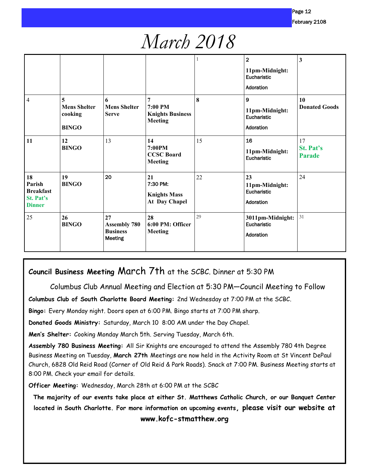### *March 2018*

|                                                                |                                                     |                                                         |                                                             | 1  | $\overline{2}$<br>11pm-Midnight:<br>Eucharistic<br>Adoration | 3                                       |
|----------------------------------------------------------------|-----------------------------------------------------|---------------------------------------------------------|-------------------------------------------------------------|----|--------------------------------------------------------------|-----------------------------------------|
| $\overline{4}$                                                 | 5<br><b>Mens Shelter</b><br>cooking<br><b>BINGO</b> | 6<br><b>Mens Shelter</b><br><b>Serve</b>                | 7<br>$7:00$ PM<br><b>Knights Business</b><br><b>Meeting</b> | 8  | $\mathbf{9}$<br>11pm-Midnight:<br>Eucharistic<br>Adoration   | 10<br><b>Donated Goods</b>              |
| 11                                                             | 12<br><b>BINGO</b>                                  | 13                                                      | 14<br>7:00PM<br><b>CCSC Board</b><br><b>Meeting</b>         | 15 | 16<br>11pm-Midnight:<br>Eucharistic                          | 17<br><b>St. Pat's</b><br><b>Parade</b> |
| 18<br>Parish<br><b>Breakfast</b><br>St. Pat's<br><b>Dinner</b> | 19<br><b>BINGO</b>                                  | 20                                                      | 21<br>7:30 PM:<br><b>Knights Mass</b><br>At Day Chapel      | 22 | 23<br>11pm-Midnight:<br>Eucharistic<br>Adoration             | 24                                      |
| 25                                                             | 26<br><b>BINGO</b>                                  | 27<br><b>Assembly 780</b><br><b>Business</b><br>Meeting | 28<br>6:00 PM: Officer<br><b>Meeting</b>                    | 29 | 3011pm-Midnight:<br>Eucharistic<br>Adoration                 | 31                                      |

#### **Council Business Meeting** March 7th at the SCBC. Dinner at 5:30 PM

Columbus Club Annual Meeting and Election at 5:30 PM—Council Meeting to Follow

**Columbus Club of South Charlotte Board Meeting:** 2nd Wednesday at 7:00 PM at the SCBC.

**Bingo:** Every Monday night. Doors open at 6:00 PM. Bingo starts at 7:00 PM sharp.

**Donated Goods Ministry:** Saturday, March 10 8:00 AM under the Day Chapel.

**Men's Shelter:** Cooking Monday March 5th. Serving Tuesday, March 6th.

**Assembly 780 Business Meeting:** All Sir Knights are encouraged to attend the Assembly 780 4th Degree Business Meeting on Tuesday, **March 27th** Meetings are now held in the Activity Room at St Vincent DePaul Church, 6828 Old Reid Road (Corner of Old Reid & Park Roads). Snack at 7:00 PM. Business Meeting starts at 8:00 PM. Check your email for details.

**Officer Meeting:** Wednesday, March 28th at 6:00 PM at the SCBC

**The majority of our events take place at either St. Matthews Catholic Church, or our Banquet Center located in South Charlotte. For more information on upcoming events, please visit our website at www.kofc-stmatthew.org**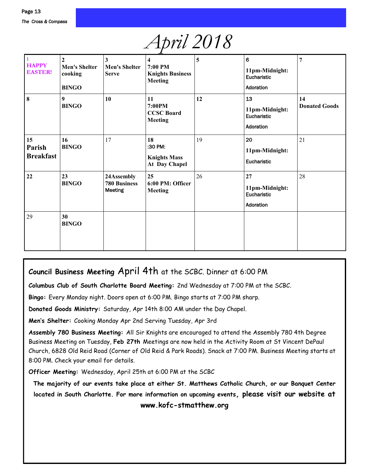## *April 2018*

| $\mathbf{1}$<br><b>HAPPY</b><br><b>EASTER!</b> | $\overline{2}$<br><b>Men's Shelter</b><br>cooking<br><b>BINGO</b> | 3<br><b>Men's Shelter</b><br><b>Serve</b>    | 4<br>7:00 PM<br><b>Knights Business</b><br><b>Meeting</b> | 5  | 6<br>11pm-Midnight:<br>Eucharistic<br>Adoration  | 7                          |
|------------------------------------------------|-------------------------------------------------------------------|----------------------------------------------|-----------------------------------------------------------|----|--------------------------------------------------|----------------------------|
| 8                                              | 9<br><b>BINGO</b>                                                 | 10                                           | 11<br>7:00PM<br><b>CCSC Board</b><br><b>Meeting</b>       | 12 | 13<br>11pm-Midnight:<br>Eucharistic<br>Adoration | 14<br><b>Donated Goods</b> |
| 15<br>Parish<br><b>Breakfast</b>               | 16<br><b>BINGO</b>                                                | 17                                           | 18<br>:30 PM:<br><b>Knights Mass</b><br>At Day Chapel     | 19 | 20<br>11pm-Midnight:<br>Eucharistic              | 21                         |
| 22                                             | 23<br><b>BINGO</b>                                                | 24Assembly<br><b>780 Business</b><br>Meeting | 25<br>6:00 PM: Officer<br><b>Meeting</b>                  | 26 | 27<br>11pm-Midnight:<br>Eucharistic<br>Adoration | 28                         |
| 29                                             | 30<br><b>BINGO</b>                                                |                                              |                                                           |    |                                                  |                            |

#### **Council Business Meeting** April 4th at the SCBC. Dinner at 6:00 PM

**Columbus Club of South Charlotte Board Meeting:** 2nd Wednesday at 7:00 PM at the SCBC.

**Bingo:** Every Monday night. Doors open at 6:00 PM. Bingo starts at 7:00 PM sharp.

**Donated Goods Ministry:** Saturday, Apr 14th 8:00 AM under the Day Chapel.

**Men's Shelter:** Cooking Monday Apr 2nd Serving Tuesday, Apr 3rd

**Assembly 780 Business Meeting:** All Sir Knights are encouraged to attend the Assembly 780 4th Degree Business Meeting on Tuesday, **Feb 27th** Meetings are now held in the Activity Room at St Vincent DePaul Church, 6828 Old Reid Road (Corner of Old Reid & Park Roads). Snack at 7:00 PM. Business Meeting starts at 8:00 PM. Check your email for details.

**Officer Meeting:** Wednesday, April 25th at 6:00 PM at the SCBC

**The majority of our events take place at either St. Matthews Catholic Church, or our Banquet Center located in South Charlotte. For more information on upcoming events, please visit our website at www.kofc-stmatthew.org**